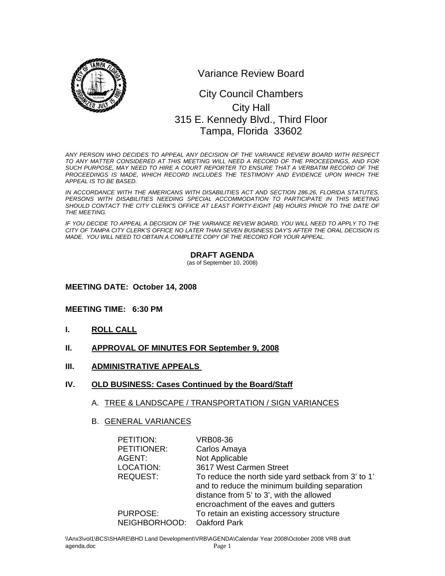

Variance Review Board

# 0 315 E. Kennedy Blvd., Third Floor City Council Chambers City Hall Tampa, Florida 33602

*ANY PERSON WHO DECIDES TO APPEAL ANY DECISION OF THE VARIANCE REVIEW BOARD WITH RESPECT TO ANY MATTER CONSIDERED AT THIS MEETING WILL NEED A RECORD OF THE PROCEEDINGS, AND FOR SUCH PURPOSE, MAY NEED TO HIRE A COURT REPORTER TO ENSURE THAT A VERBATIM RECORD OF THE*  PROCEEDINGS IS MADE, WHICH RECORD INCLUDES THE TESTIMONY AND EVIDENCE UPON WHICH THE *APPEAL IS TO BE BASED.* 

*IN ACCORDANCE WITH THE AMERICANS WITH DISABILITIES ACT AND SECTION 286.26, FLORIDA STATUTES,*  PERSONS WITH DISABILITIES NEEDING SPECIAL ACCOMMODATION TO PARTICIPATE IN THIS MEETING SHOULD CONTACT THE CITY CLERK'S OFFICE AT LEAST FORTY-EIGHT (48) HOURS PRIOR TO THE DATE OF *THE MEETING.* 

*IF YOU DECIDE TO APPEAL A DECISION OF THE VARIANCE REVIEW BOARD, YOU WILL NEED TO APPLY TO THE CITY OF TAMPA CITY CLERK'S OFFICE NO LATER THAN SEVEN BUSINESS DAY'S AFTER THE ORAL DECISION IS MADE. YOU WILL NEED TO OBTAIN A COMPLETE COPY OF THE RECORD FOR YOUR APPEAL.* 

#### **DRAFT AGENDA**

(as of September 10, 2008)

#### **MEETING DATE: October 14, 2008**

#### **MEETING TIME: 6:30 PM**

- **I. ROLL CALL**
- **II. APPROVAL OF MINUTES FOR September 9, 2008**
- **III. ADMINISTRATIVE APPEALS**
- **IV. OLD BUSINESS: Cases Continued by the Board/Staff**

#### A. TREE & LANDSCAPE / TRANSPORTATION / SIGN VARIANCES

#### B. GENERAL VARIANCES

| PETITION:       | <b>VRB08-36</b>                                     |
|-----------------|-----------------------------------------------------|
| PETITIONER:     | Carlos Amaya                                        |
| AGENT:          | Not Applicable                                      |
| LOCATION:       | 3617 West Carmen Street                             |
| <b>REQUEST:</b> | To reduce the north side yard setback from 3' to 1' |
|                 | and to reduce the minimum building separation       |
|                 | distance from 5' to 3', with the allowed            |
|                 | encroachment of the eaves and gutters               |
| <b>PURPOSE:</b> | To retain an existing accessory structure           |
| NEIGHBORHOOD:   | <b>Oakford Park</b>                                 |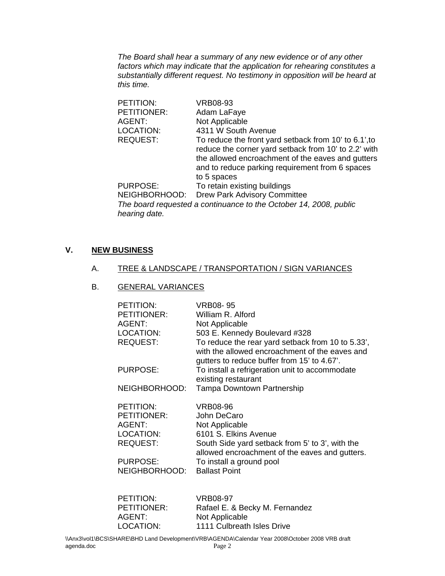*The Board shall hear a summary of any new evidence or of any other factors which may indicate that the application for rehearing constitutes a substantially different request. No testimony in opposition will be heard at this time.* 

| PETITION:       | <b>VRB08-93</b>                                                                                                                                                                                                                      |
|-----------------|--------------------------------------------------------------------------------------------------------------------------------------------------------------------------------------------------------------------------------------|
| PETITIONER:     | Adam LaFaye                                                                                                                                                                                                                          |
| AGENT:          | Not Applicable                                                                                                                                                                                                                       |
| LOCATION:       | 4311 W South Avenue                                                                                                                                                                                                                  |
| <b>REQUEST:</b> | To reduce the front yard setback from 10' to 6.1', to<br>reduce the corner yard setback from 10' to 2.2' with<br>the allowed encroachment of the eaves and gutters<br>and to reduce parking requirement from 6 spaces<br>to 5 spaces |
| <b>PURPOSE:</b> | To retain existing buildings                                                                                                                                                                                                         |
|                 | NEIGHBORHOOD: Drew Park Advisory Committee                                                                                                                                                                                           |
|                 | The beautiful control of a continuous of the October 44, 0000, with $\Gamma$                                                                                                                                                         |

*The board requested a continuance to the October 14, 2008, public hearing date.* 

### **V. NEW BUSINESS**

#### A. TREE & LANDSCAPE / TRANSPORTATION / SIGN VARIANCES

#### B. GENERAL VARIANCES

| <b>PETITION:</b>             | VRB08-95                                                                                                                                           |
|------------------------------|----------------------------------------------------------------------------------------------------------------------------------------------------|
| <b>PETITIONER:</b><br>AGENT: | William R. Alford<br>Not Applicable                                                                                                                |
| LOCATION:                    | 503 E. Kennedy Boulevard #328                                                                                                                      |
| <b>REQUEST:</b>              | To reduce the rear yard setback from 10 to 5.33',<br>with the allowed encroachment of the eaves and<br>gutters to reduce buffer from 15' to 4.67'. |
| PURPOSE:                     | To install a refrigeration unit to accommodate<br>existing restaurant                                                                              |
| NEIGHBORHOOD:                | <b>Tampa Downtown Partnership</b>                                                                                                                  |
| PETITION:                    | VRB08-96                                                                                                                                           |
| <b>PETITIONER:</b>           | John DeCaro                                                                                                                                        |
| AGENT:<br>LOCATION:          | Not Applicable<br>6101 S. Elkins Avenue                                                                                                            |
| <b>REQUEST:</b>              | South Side yard setback from 5' to 3', with the                                                                                                    |
| <b>PURPOSE:</b>              | allowed encroachment of the eaves and gutters.<br>To install a ground pool                                                                         |
| NEIGHBORHOOD:                | <b>Ballast Point</b>                                                                                                                               |

| PETITION:   | <b>VRB08-97</b>                |
|-------------|--------------------------------|
| PETITIONER: | Rafael E. & Becky M. Fernandez |
| AGENT:      | Not Applicable                 |
| LOCATION:   | 1111 Culbreath Isles Drive     |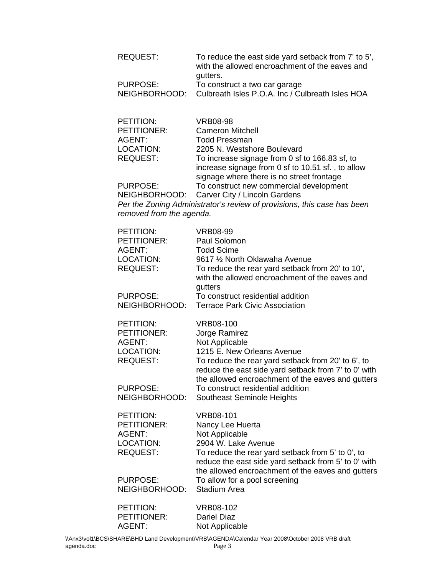| <b>REQUEST:</b>                   | To reduce the east side yard setback from 7' to 5',<br>with the allowed encroachment of the eaves and<br>gutters.                                              |
|-----------------------------------|----------------------------------------------------------------------------------------------------------------------------------------------------------------|
| <b>PURPOSE:</b>                   | To construct a two car garage                                                                                                                                  |
| NEIGHBORHOOD:                     | Culbreath Isles P.O.A. Inc / Culbreath Isles HOA                                                                                                               |
| PETITION:                         | <b>VRB08-98</b>                                                                                                                                                |
| PETITIONER:                       | <b>Cameron Mitchell</b>                                                                                                                                        |
| <b>AGENT:</b><br><b>LOCATION:</b> | <b>Todd Pressman</b><br>2205 N. Westshore Boulevard                                                                                                            |
| <b>REQUEST:</b>                   | To increase signage from 0 sf to 166.83 sf, to<br>increase signage from 0 sf to 10.51 sf., to allow                                                            |
| <b>PURPOSE:</b>                   | signage where there is no street frontage<br>To construct new commercial development                                                                           |
| NEIGHBORHOOD:                     | Carver City / Lincoln Gardens                                                                                                                                  |
| removed from the agenda.          | Per the Zoning Administrator's review of provisions, this case has been                                                                                        |
| PETITION:                         | <b>VRB08-99</b>                                                                                                                                                |
| PETITIONER:                       | Paul Solomon                                                                                                                                                   |
| <b>AGENT:</b>                     | <b>Todd Scime</b>                                                                                                                                              |
| LOCATION:                         | 9617 1/2 North Oklawaha Avenue                                                                                                                                 |
| <b>REQUEST:</b>                   | To reduce the rear yard setback from 20' to 10',<br>with the allowed encroachment of the eaves and                                                             |
|                                   | gutters                                                                                                                                                        |
| <b>PURPOSE:</b>                   | To construct residential addition                                                                                                                              |
| NEIGHBORHOOD:                     | <b>Terrace Park Civic Association</b>                                                                                                                          |
| PETITION:                         | <b>VRB08-100</b>                                                                                                                                               |
| PETITIONER:                       | Jorge Ramirez                                                                                                                                                  |
| <b>AGENT:</b>                     | Not Applicable                                                                                                                                                 |
| <b>LOCATION:</b>                  | 1215 E. New Orleans Avenue                                                                                                                                     |
| <b>REQUEST:</b>                   | To reduce the rear yard setback from 20' to 6', to<br>reduce the east side yard setback from 7' to 0' with                                                     |
|                                   | the allowed encroachment of the eaves and gutters                                                                                                              |
| <b>PURPOSE:</b>                   | To construct residential addition                                                                                                                              |
| NEIGHBORHOOD:                     | Southeast Seminole Heights                                                                                                                                     |
| PETITION:                         | <b>VRB08-101</b>                                                                                                                                               |
| PETITIONER:                       | Nancy Lee Huerta                                                                                                                                               |
| <b>AGENT:</b>                     | Not Applicable                                                                                                                                                 |
| <b>LOCATION:</b>                  | 2904 W. Lake Avenue                                                                                                                                            |
| <b>REQUEST:</b>                   | To reduce the rear yard setback from 5' to 0', to<br>reduce the east side yard setback from 5' to 0' with<br>the allowed encroachment of the eaves and gutters |
| PURPOSE:                          | To allow for a pool screening                                                                                                                                  |
| NEIGHBORHOOD:                     | <b>Stadium Area</b>                                                                                                                                            |
| PETITION:                         | <b>VRB08-102</b>                                                                                                                                               |
| PETITIONER:                       | <b>Dariel Diaz</b>                                                                                                                                             |
| AGENT:                            | Not Applicable                                                                                                                                                 |